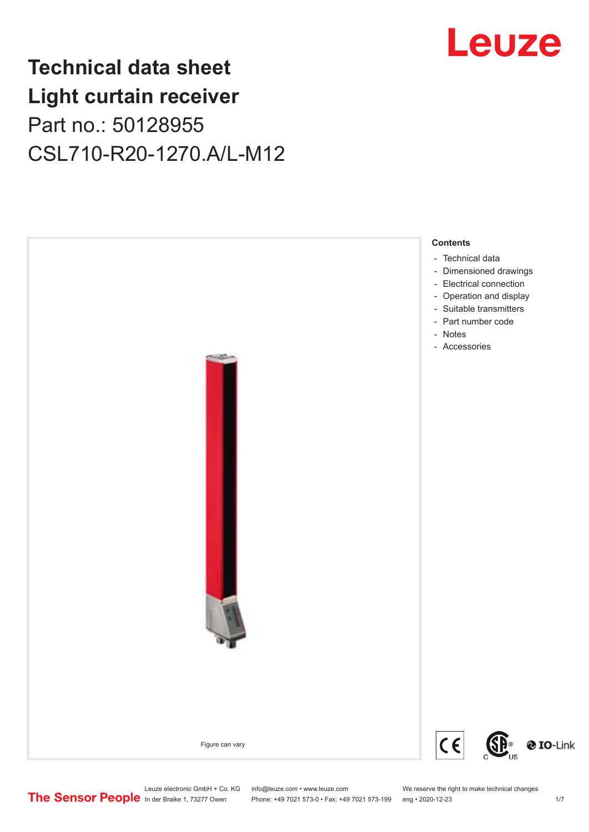## **Technical data sheet Light curtain receiver** Part no.: 50128955 CSL710-R20-1270.A/L-M12



Leuze electronic GmbH + Co. KG info@leuze.com • www.leuze.com We reserve the right to make technical changes<br>
The Sensor People in der Braike 1, 73277 Owen Phone: +49 7021 573-0 • Fax: +49 7021 573-199 eng • 2020-12-23

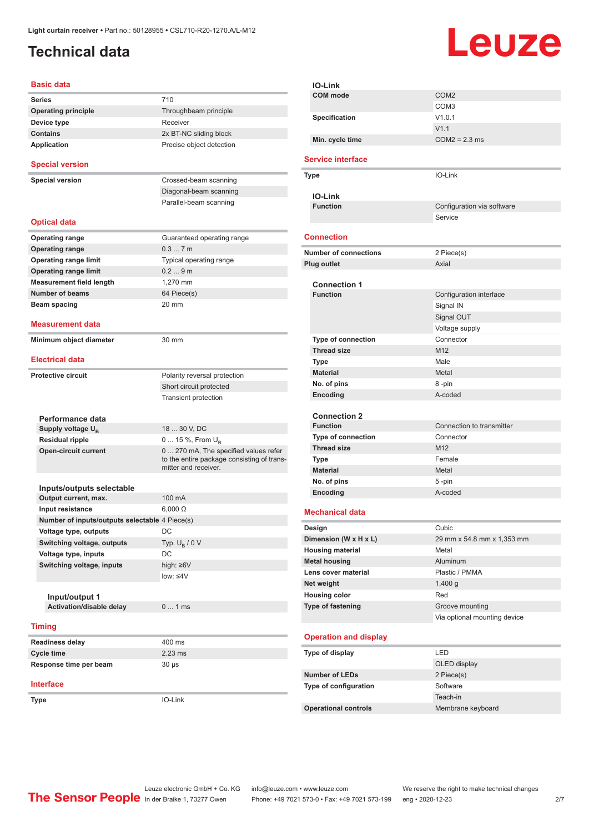## <span id="page-1-0"></span>**Technical data**

# Leuze

| <b>Basic data</b>                              |                                                                                                             |
|------------------------------------------------|-------------------------------------------------------------------------------------------------------------|
| <b>Series</b>                                  | 710                                                                                                         |
| <b>Operating principle</b>                     | Throughbeam principle                                                                                       |
| Device type                                    | Receiver                                                                                                    |
| <b>Contains</b>                                | 2x BT-NC sliding block                                                                                      |
| <b>Application</b>                             | Precise object detection                                                                                    |
| <b>Special version</b>                         |                                                                                                             |
| <b>Special version</b>                         | Crossed-beam scanning                                                                                       |
|                                                | Diagonal-beam scanning                                                                                      |
|                                                | Parallel-beam scanning                                                                                      |
| <b>Optical data</b>                            |                                                                                                             |
| <b>Operating range</b>                         | Guaranteed operating range                                                                                  |
| <b>Operating range</b>                         | 0.37m                                                                                                       |
| <b>Operating range limit</b>                   | Typical operating range                                                                                     |
| <b>Operating range limit</b>                   | 0.29m                                                                                                       |
| <b>Measurement field length</b>                | 1.270 mm                                                                                                    |
| <b>Number of beams</b>                         | 64 Piece(s)                                                                                                 |
| <b>Beam spacing</b>                            | 20 mm                                                                                                       |
|                                                |                                                                                                             |
| <b>Measurement data</b>                        |                                                                                                             |
| Minimum object diameter                        | 30 mm                                                                                                       |
| <b>Electrical data</b>                         |                                                                                                             |
| <b>Protective circuit</b>                      | Polarity reversal protection                                                                                |
|                                                | Short circuit protected                                                                                     |
|                                                | <b>Transient protection</b>                                                                                 |
|                                                |                                                                                                             |
| Performance data                               |                                                                                                             |
| Supply voltage U <sub>R</sub>                  | 18  30 V, DC                                                                                                |
| <b>Residual ripple</b>                         | 0  15 %, From U <sub>B</sub>                                                                                |
| <b>Open-circuit current</b>                    | 0  270 mA, The specified values refer<br>to the entire package consisting of trans-<br>mitter and receiver. |
| Inputs/outputs selectable                      |                                                                                                             |
| Output current, max.                           | 100 mA                                                                                                      |
| Input resistance                               | $6,000 \Omega$                                                                                              |
| Number of inputs/outputs selectable 4 Piece(s) |                                                                                                             |
| Voltage type, outputs                          | DC                                                                                                          |
| Switching voltage, outputs                     | Typ. $U_R / 0 V$                                                                                            |
| Voltage type, inputs                           | DC                                                                                                          |
| Switching voltage, inputs                      | high: $\geq 6V$                                                                                             |
|                                                | low: $\leq 4V$                                                                                              |
|                                                |                                                                                                             |
| Input/output 1                                 |                                                                                                             |
| Activation/disable delay                       | 01ms                                                                                                        |
| <b>Timing</b>                                  |                                                                                                             |
| <b>Readiness delay</b>                         | 400 ms                                                                                                      |
| <b>Cycle time</b>                              | $2.23$ ms                                                                                                   |
| Response time per beam                         | $30 \mu s$                                                                                                  |
| <b>Interface</b>                               |                                                                                                             |
| Type                                           | IO-Link                                                                                                     |
|                                                |                                                                                                             |

|                      | IO-Link                      |                              |
|----------------------|------------------------------|------------------------------|
|                      | <b>COM</b> mode              | COM <sub>2</sub>             |
|                      |                              | COM3                         |
|                      | Specification                | V1.0.1                       |
|                      |                              | V1.1                         |
|                      | Min. cycle time              | $COM2 = 2.3$ ms              |
|                      | <b>Service interface</b>     |                              |
|                      | Type                         | IO-Link                      |
|                      |                              |                              |
|                      | <b>IO-Link</b>               |                              |
|                      | <b>Function</b>              | Configuration via software   |
|                      |                              | Service                      |
|                      | <b>Connection</b>            |                              |
|                      |                              |                              |
|                      | <b>Number of connections</b> | 2 Piece(s)                   |
|                      | Plug outlet                  | Axial                        |
|                      | <b>Connection 1</b>          |                              |
|                      | <b>Function</b>              | Configuration interface      |
|                      |                              | Signal IN                    |
|                      |                              | Signal OUT                   |
|                      |                              | Voltage supply               |
|                      | <b>Type of connection</b>    | Connector                    |
|                      | <b>Thread size</b>           | M12                          |
|                      | Type                         | Male                         |
|                      | <b>Material</b>              | Metal                        |
|                      | No. of pins                  | 8-pin                        |
|                      | Encoding                     | A-coded                      |
|                      |                              |                              |
|                      | <b>Connection 2</b>          |                              |
|                      | <b>Function</b>              | Connection to transmitter    |
|                      | Type of connection           | Connector                    |
|                      | <b>Thread size</b>           | M <sub>12</sub>              |
|                      | Type                         | Female                       |
|                      | <b>Material</b>              | Metal                        |
|                      | No. of pins                  | 5 -pin                       |
|                      | Encoding                     | A-coded                      |
|                      | <b>Mechanical data</b>       |                              |
|                      | Design                       | Cubic                        |
|                      | Dimension (W x H x L)        | 29 mm x 54.8 mm x 1,353 mm   |
|                      | <b>Housing material</b>      | Metal                        |
|                      | <b>Metal housing</b>         | Aluminum                     |
|                      | Lens cover material          | Plastic / PMMA               |
| Net weight           |                              | 1,400q                       |
| <b>Housing color</b> |                              | Red                          |
|                      | Type of fastening            | Groove mounting              |
|                      |                              | Via optional mounting device |
|                      | <b>Operation and display</b> |                              |
|                      | Type of display              | LED                          |
|                      |                              | OLED display                 |
|                      | <b>Number of LEDs</b>        | 2 Piece(s)                   |
|                      | Type of configuration        | Software                     |
|                      |                              | Teach-in                     |
|                      | <b>Operational controls</b>  | Membrane keyboard            |
|                      |                              |                              |
|                      |                              |                              |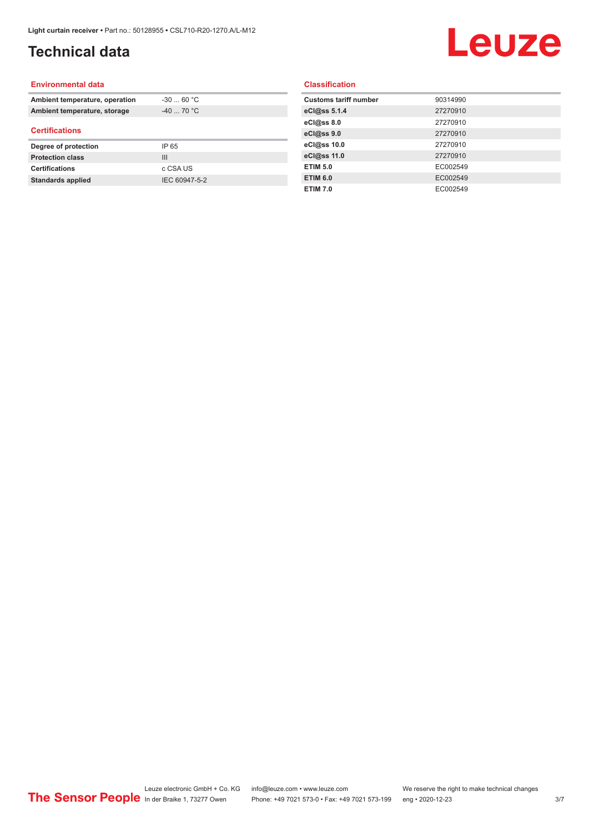## **Technical data**

## Leuze

#### **Environmental data**

| Ambient temperature, operation | $-30$ 60 °C    |  |
|--------------------------------|----------------|--|
| Ambient temperature, storage   | $-40$ 70 °C    |  |
| <b>Certifications</b>          |                |  |
| Degree of protection           | IP 65          |  |
| <b>Protection class</b>        | $\mathbf{III}$ |  |
| <b>Certifications</b>          | c CSA US       |  |
| <b>Standards applied</b>       | IEC 60947-5-2  |  |

#### **Classification**

| <b>Customs tariff number</b> | 90314990 |
|------------------------------|----------|
| eCl@ss 5.1.4                 | 27270910 |
| eCl@ss 8.0                   | 27270910 |
| eCl@ss 9.0                   | 27270910 |
| eCl@ss 10.0                  | 27270910 |
| eCl@ss 11.0                  | 27270910 |
| <b>ETIM 5.0</b>              | EC002549 |
| <b>ETIM 6.0</b>              | EC002549 |
| <b>ETIM 7.0</b>              | EC002549 |
|                              |          |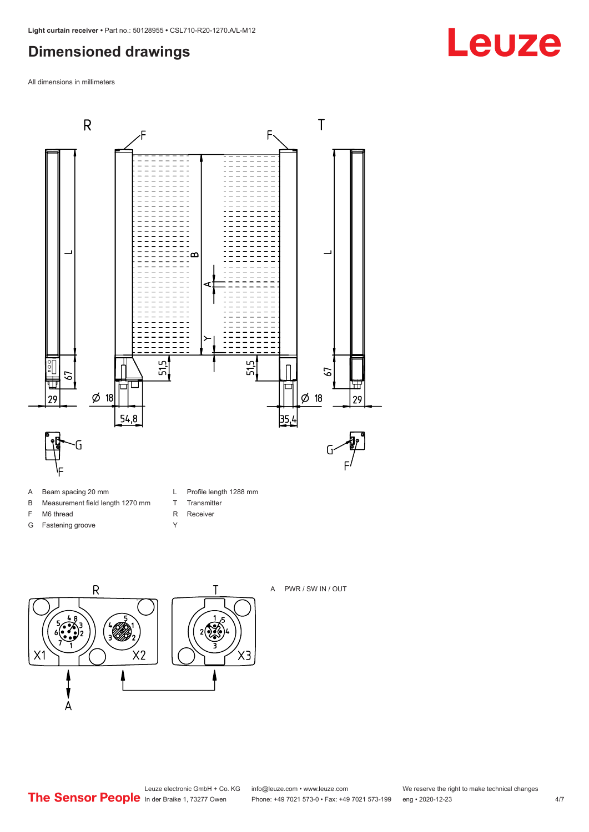## <span id="page-3-0"></span>**Dimensioned drawings**

All dimensions in millimeters



- A Beam spacing 20 mm
- B Measurement field length 1270 mm
- F M6 thread
- G Fastening groove
- L Profile length 1288 mm
- T Transmitter
- R Receiver
- Y





A PWR / SW IN / OUT

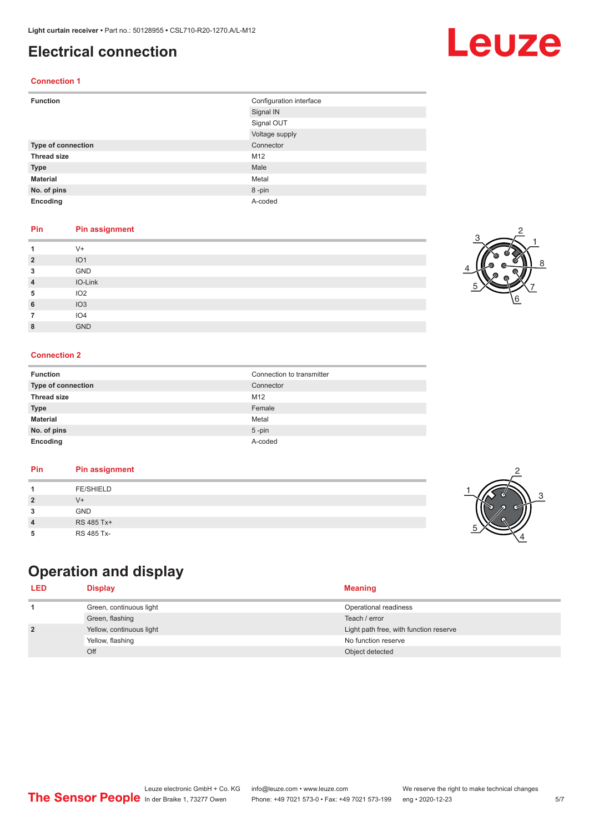### <span id="page-4-0"></span>**Electrical connection**

#### **Connection 1**

| <b>Function</b>    | Configuration interface |
|--------------------|-------------------------|
|                    | Signal IN               |
|                    | Signal OUT              |
|                    | Voltage supply          |
| Type of connection | Connector               |
| <b>Thread size</b> | M12                     |
| <b>Type</b>        | Male                    |
| <b>Material</b>    | Metal                   |
| No. of pins        | 8-pin                   |
| Encoding           | A-coded                 |

#### **Pin Pin assignment**

|                | $V +$           |
|----------------|-----------------|
| $\overline{2}$ | IO <sub>1</sub> |
| 3              | GND             |
| 4              | IO-Link         |
| 5              | IO <sub>2</sub> |
| 6              | IO3             |
|                | IO <sub>4</sub> |
| 8              | <b>GND</b>      |

#### **Connection 2**

| <b>Function</b>    | Connection to transmitter |
|--------------------|---------------------------|
| Type of connection | Connector                 |
| <b>Thread size</b> | M12                       |
| <b>Type</b>        | Female                    |
| <b>Material</b>    | Metal                     |
| No. of pins        | $5 - pin$                 |
| Encoding           | A-coded                   |

#### **Pin Pin assignment**

## **Operation and display**

| <b>LED</b>     | <b>Display</b>           | <b>Meaning</b>                         |
|----------------|--------------------------|----------------------------------------|
|                | Green, continuous light  | Operational readiness                  |
|                | Green, flashing          | Teach / error                          |
| $\overline{2}$ | Yellow, continuous light | Light path free, with function reserve |
|                | Yellow, flashing         | No function reserve                    |
|                | Off                      | Object detected                        |

3

2

4



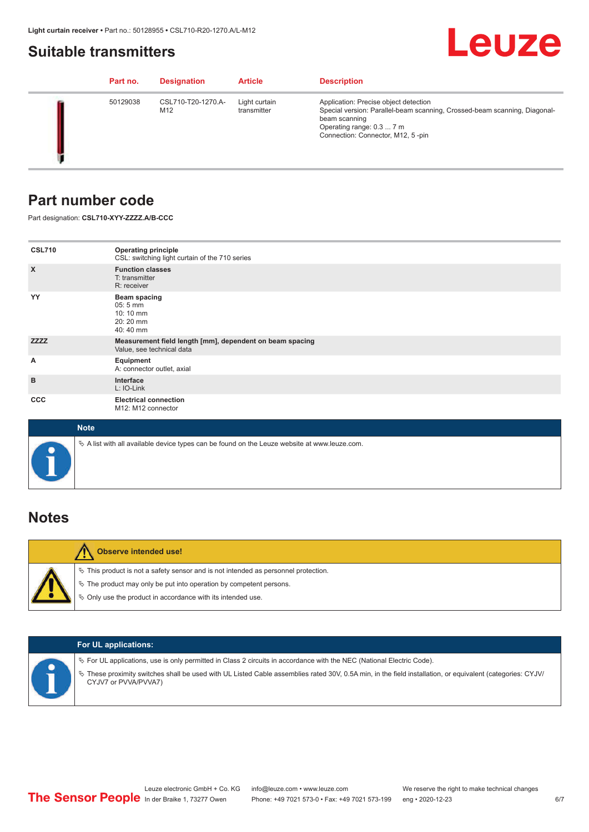### <span id="page-5-0"></span>**Suitable transmitters**

## Leuze

|  | Part no. | <b>Designation</b>        | <b>Article</b>               | <b>Description</b>                                                                                                                                                                                    |
|--|----------|---------------------------|------------------------------|-------------------------------------------------------------------------------------------------------------------------------------------------------------------------------------------------------|
|  | 50129038 | CSL710-T20-1270.A-<br>M12 | Light curtain<br>transmitter | Application: Precise object detection<br>Special version: Parallel-beam scanning, Crossed-beam scanning, Diagonal-<br>beam scanning<br>Operating range: 0.3  7 m<br>Connection: Connector, M12, 5-pin |

## **Part number code**

Part designation: **CSL710-XYY-ZZZZ.A/B-CCC**

| <b>CSL710</b>             | <b>Operating principle</b><br>CSL: switching light curtain of the 710 series               |
|---------------------------|--------------------------------------------------------------------------------------------|
| $\boldsymbol{\mathsf{X}}$ | <b>Function classes</b><br>T: transmitter<br>R: receiver                                   |
| YY                        | <b>Beam spacing</b><br>$05:5 \, \text{mm}$<br>$10:10 \, \text{mm}$<br>20:20 mm<br>40:40 mm |
| <b>ZZZZ</b>               | Measurement field length [mm], dependent on beam spacing<br>Value, see technical data      |
| Α                         | Equipment<br>A: connector outlet, axial                                                    |
| B                         | Interface<br>L: IO-Link                                                                    |
| <b>CCC</b>                | <b>Electrical connection</b><br>M12: M12 connector                                         |

| <b>Note</b>                                                                                       |
|---------------------------------------------------------------------------------------------------|
| Vector A list with all available device types can be found on the Leuze website at www.leuze.com. |

## **Notes**

| <b>Observe intended use!</b>                                                                                                                                                                                                     |
|----------------------------------------------------------------------------------------------------------------------------------------------------------------------------------------------------------------------------------|
| $\%$ This product is not a safety sensor and is not intended as personnel protection.<br>$\%$ The product may only be put into operation by competent persons.<br>$\%$ Only use the product in accordance with its intended use. |

|  | <b>For UL applications:</b>                                                                                                                                                                                                                                                                   |
|--|-----------------------------------------------------------------------------------------------------------------------------------------------------------------------------------------------------------------------------------------------------------------------------------------------|
|  | $\%$ For UL applications, use is only permitted in Class 2 circuits in accordance with the NEC (National Electric Code).<br>These proximity switches shall be used with UL Listed Cable assemblies rated 30V, 0.5A min, in the field installation, or equivalent (categories: CYJV/<br>$\phi$ |
|  | CYJV7 or PVVA/PVVA7)                                                                                                                                                                                                                                                                          |